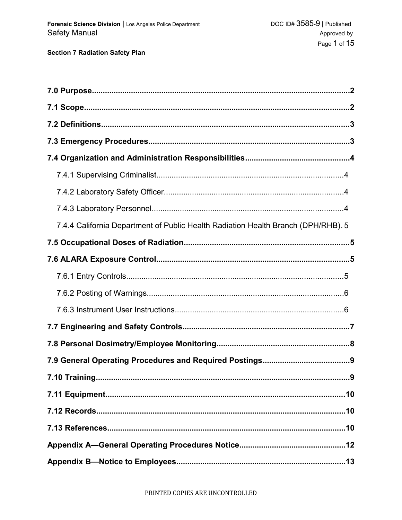| 7.4.4 California Department of Public Health Radiation Health Branch (DPH/RHB). 5 |
|-----------------------------------------------------------------------------------|
|                                                                                   |
|                                                                                   |
|                                                                                   |
|                                                                                   |
|                                                                                   |
|                                                                                   |
|                                                                                   |
|                                                                                   |
| 7.10 Training<br>9                                                                |
|                                                                                   |
|                                                                                   |
|                                                                                   |
|                                                                                   |
|                                                                                   |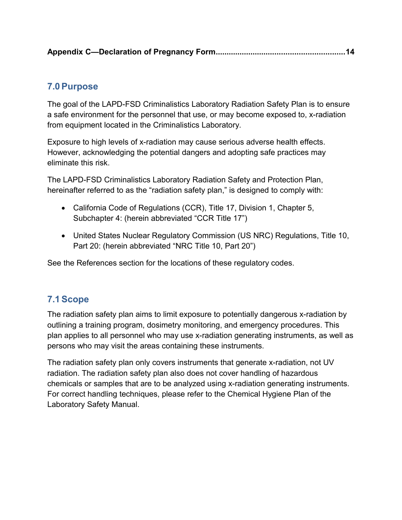#### **7.0Purpose**

The goal of the LAPD-FSD Criminalistics Laboratory Radiation Safety Plan is to ensure a safe environment for the personnel that use, or may become exposed to, x-radiation from equipment located in the Criminalistics Laboratory.

Exposure to high levels of x-radiation may cause serious adverse health effects. However, acknowledging the potential dangers and adopting safe practices may eliminate this risk.

The LAPD-FSD Criminalistics Laboratory Radiation Safety and Protection Plan, hereinafter referred to as the "radiation safety plan," is designed to comply with:

- California Code of Regulations (CCR), Title 17, Division 1, Chapter 5, Subchapter 4: (herein abbreviated "CCR Title 17")
- United States Nuclear Regulatory Commission (US NRC) Regulations, Title 10, Part 20: (herein abbreviated "NRC Title 10, Part 20")

See the References section for the locations of these regulatory codes.

## **7.1Scope**

The radiation safety plan aims to limit exposure to potentially dangerous x-radiation by outlining a training program, dosimetry monitoring, and emergency procedures. This plan applies to all personnel who may use x-radiation generating instruments, as well as persons who may visit the areas containing these instruments.

The radiation safety plan only covers instruments that generate x-radiation, not UV radiation. The radiation safety plan also does not cover handling of hazardous chemicals or samples that are to be analyzed using x-radiation generating instruments. For correct handling techniques, please refer to the Chemical Hygiene Plan of the Laboratory Safety Manual.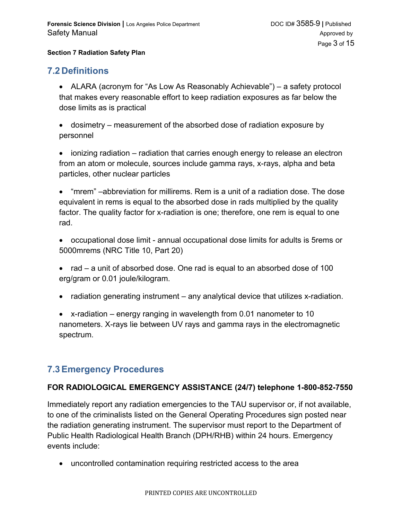#### **7.2 Definitions**

- ALARA (acronym for "As Low As Reasonably Achievable") a safety protocol that makes every reasonable effort to keep radiation exposures as far below the dose limits as is practical
- dosimetry measurement of the absorbed dose of radiation exposure by personnel
- ionizing radiation radiation that carries enough energy to release an electron from an atom or molecule, sources include gamma rays, x-rays, alpha and beta particles, other nuclear particles
- "mrem" –abbreviation for millirems. Rem is a unit of a radiation dose. The dose equivalent in rems is equal to the absorbed dose in rads multiplied by the quality factor. The quality factor for x-radiation is one; therefore, one rem is equal to one rad.
- occupational dose limit annual occupational dose limits for adults is 5rems or 5000mrems (NRC Title 10, Part 20)
- rad  $-$  a unit of absorbed dose. One rad is equal to an absorbed dose of 100 erg/gram or 0.01 joule/kilogram.
- radiation generating instrument any analytical device that utilizes x-radiation.
- x-radiation energy ranging in wavelength from 0.01 nanometer to 10 nanometers. X-rays lie between UV rays and gamma rays in the electromagnetic spectrum.

#### **7.3Emergency Procedures**

#### **FOR RADIOLOGICAL EMERGENCY ASSISTANCE (24/7) telephone 1-800-852-7550**

Immediately report any radiation emergencies to the TAU supervisor or, if not available, to one of the criminalists listed on the General Operating Procedures sign posted near the radiation generating instrument. The supervisor must report to the Department of Public Health Radiological Health Branch (DPH/RHB) within 24 hours. Emergency events include:

uncontrolled contamination requiring restricted access to the area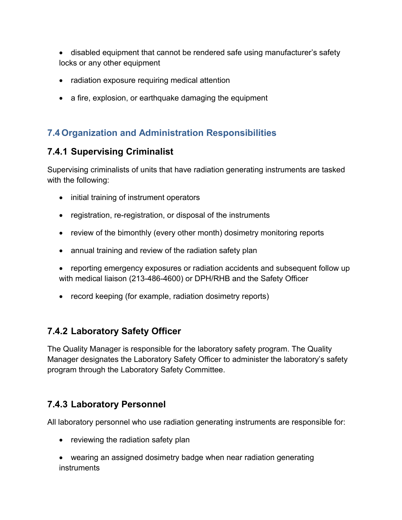disabled equipment that cannot be rendered safe using manufacturer's safety locks or any other equipment

- radiation exposure requiring medical attention
- a fire, explosion, or earthquake damaging the equipment

## **7.4 Organization and Administration Responsibilities**

## **7.4.1 Supervising Criminalist**

Supervising criminalists of units that have radiation generating instruments are tasked with the following:

- initial training of instrument operators
- registration, re-registration, or disposal of the instruments
- review of the bimonthly (every other month) dosimetry monitoring reports
- annual training and review of the radiation safety plan
- reporting emergency exposures or radiation accidents and subsequent follow up with medical liaison (213-486-4600) or DPH/RHB and the Safety Officer
- record keeping (for example, radiation dosimetry reports)

## **7.4.2 Laboratory Safety Officer**

The Quality Manager is responsible for the laboratory safety program. The Quality Manager designates the Laboratory Safety Officer to administer the laboratory's safety program through the Laboratory Safety Committee.

## **7.4.3 Laboratory Personnel**

All laboratory personnel who use radiation generating instruments are responsible for:

- reviewing the radiation safety plan
- wearing an assigned dosimetry badge when near radiation generating instruments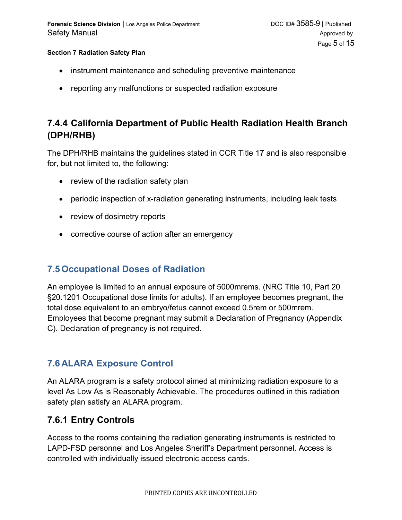- instrument maintenance and scheduling preventive maintenance
- reporting any malfunctions or suspected radiation exposure

## **7.4.4 California Department of Public Health Radiation Health Branch (DPH/RHB)**

The DPH/RHB maintains the guidelines stated in CCR Title 17 and is also responsible for, but not limited to, the following:

- $\bullet$  review of the radiation safety plan
- periodic inspection of x-radiation generating instruments, including leak tests
- review of dosimetry reports
- corrective course of action after an emergency

#### **7.5 Occupational Doses of Radiation**

An employee is limited to an annual exposure of 5000mrems. (NRC Title 10, Part 20 §20.1201 Occupational dose limits for adults). If an employee becomes pregnant, the total dose equivalent to an embryo/fetus cannot exceed 0.5rem or 500mrem. Employees that become pregnant may submit a Declaration of Pregnancy (Appendix C). Declaration of pregnancy is not required.

#### **7.6 ALARA Exposure Control**

An ALARA program is a safety protocol aimed at minimizing radiation exposure to a level As Low As is Reasonably Achievable. The procedures outlined in this radiation safety plan satisfy an ALARA program.

#### **7.6.1 Entry Controls**

Access to the rooms containing the radiation generating instruments is restricted to LAPD-FSD personnel and Los Angeles Sheriff's Department personnel. Access is controlled with individually issued electronic access cards.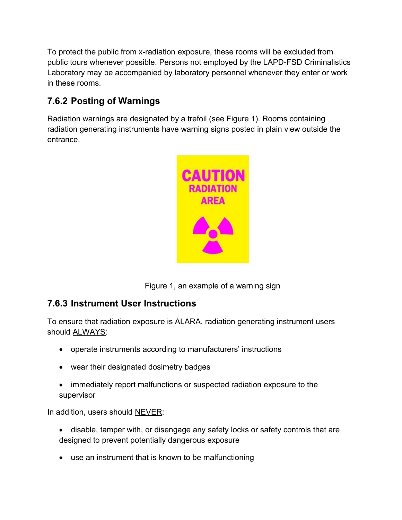To protect the public from x-radiation exposure, these rooms will be excluded from public tours whenever possible. Persons not employed by the LAPD-FSD Criminalistics Laboratory may be accompanied by laboratory personnel whenever they enter or work in these rooms.

## **7.6.2 Posting of Warnings**

Radiation warnings are designated by a trefoil (see Figure 1). Rooms containing radiation generating instruments have warning signs posted in plain view outside the entrance.



Figure 1, an example of a warning sign

## **7.6.3 Instrument User Instructions**

To ensure that radiation exposure is ALARA, radiation generating instrument users should ALWAYS:

- operate instruments according to manufacturers' instructions
- wear their designated dosimetry badges
- immediately report malfunctions or suspected radiation exposure to the supervisor

In addition, users should NEVER:

- disable, tamper with, or disengage any safety locks or safety controls that are designed to prevent potentially dangerous exposure
- use an instrument that is known to be malfunctioning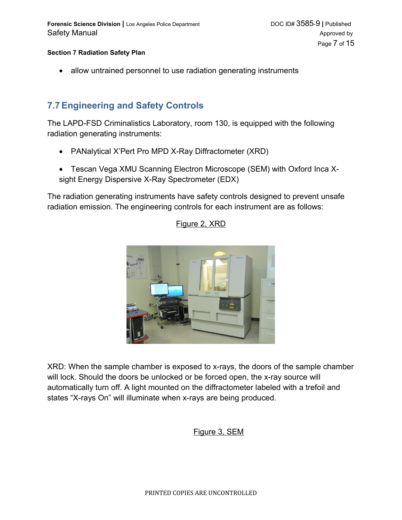• allow untrained personnel to use radiation generating instruments

### **7.7Engineering and Safety Controls**

The LAPD-FSD Criminalistics Laboratory, room 130, is equipped with the following radiation generating instruments:

- PANalytical X'Pert Pro MPD X-Ray Diffractometer (XRD)
- Tescan Vega XMU Scanning Electron Microscope (SEM) with Oxford Inca Xsight Energy Dispersive X-Ray Spectrometer (EDX)

The radiation generating instruments have safety controls designed to prevent unsafe radiation emission. The engineering controls for each instrument are as follows:

Figure 2, XRD

XRD: When the sample chamber is exposed to x-rays, the doors of the sample chamber will lock. Should the doors be unlocked or be forced open, the x-ray source will automatically turn off. A light mounted on the diffractometer labeled with a trefoil and states "X-rays On" will illuminate when x-rays are being produced.

#### Figure 3, SEM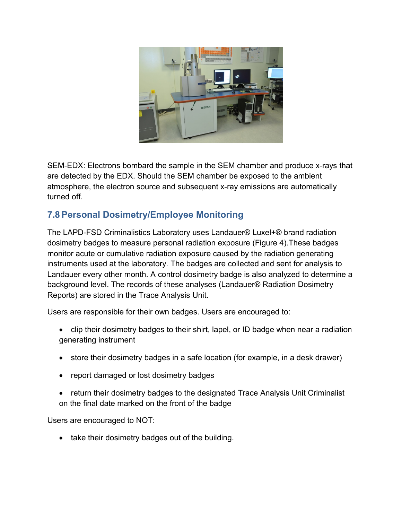

SEM-EDX: Electrons bombard the sample in the SEM chamber and produce x-rays that are detected by the EDX. Should the SEM chamber be exposed to the ambient atmosphere, the electron source and subsequent x-ray emissions are automatically turned off.

## **7.8Personal Dosimetry/Employee Monitoring**

The LAPD-FSD Criminalistics Laboratory uses Landauer® Luxel+® brand radiation dosimetry badges to measure personal radiation exposure (Figure 4).These badges monitor acute or cumulative radiation exposure caused by the radiation generating instruments used at the laboratory. The badges are collected and sent for analysis to Landauer every other month. A control dosimetry badge is also analyzed to determine a background level. The records of these analyses (Landauer® Radiation Dosimetry Reports) are stored in the Trace Analysis Unit.

Users are responsible for their own badges. Users are encouraged to:

- clip their dosimetry badges to their shirt, lapel, or ID badge when near a radiation generating instrument
- store their dosimetry badges in a safe location (for example, in a desk drawer)
- report damaged or lost dosimetry badges
- return their dosimetry badges to the designated Trace Analysis Unit Criminalist on the final date marked on the front of the badge

Users are encouraged to NOT:

• take their dosimetry badges out of the building.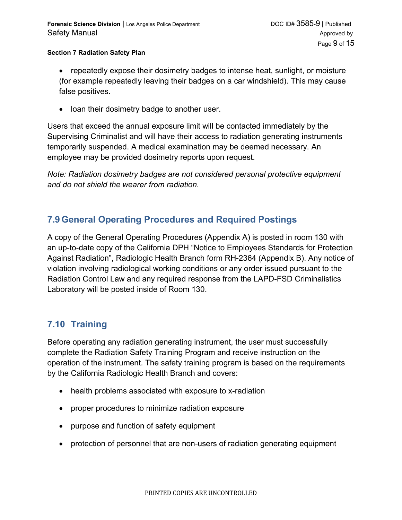- repeatedly expose their dosimetry badges to intense heat, sunlight, or moisture (for example repeatedly leaving their badges on a car windshield). This may cause false positives.
- loan their dosimetry badge to another user.

Users that exceed the annual exposure limit will be contacted immediately by the Supervising Criminalist and will have their access to radiation generating instruments temporarily suspended. A medical examination may be deemed necessary. An employee may be provided dosimetry reports upon request.

*Note: Radiation dosimetry badges are not considered personal protective equipment and do not shield the wearer from radiation.*

## **7.9 General Operating Procedures and Required Postings**

A copy of the General Operating Procedures (Appendix A) is posted in room 130 with an up-to-date copy of the California DPH "Notice to Employees Standards for Protection Against Radiation", Radiologic Health Branch form RH-2364 (Appendix B). Any notice of violation involving radiological working conditions or any order issued pursuant to the Radiation Control Law and any required response from the LAPD-FSD Criminalistics Laboratory will be posted inside of Room 130.

## **7.10 Training**

Before operating any radiation generating instrument, the user must successfully complete the Radiation Safety Training Program and receive instruction on the operation of the instrument. The safety training program is based on the requirements by the California Radiologic Health Branch and covers:

- health problems associated with exposure to x-radiation
- proper procedures to minimize radiation exposure
- purpose and function of safety equipment
- protection of personnel that are non-users of radiation generating equipment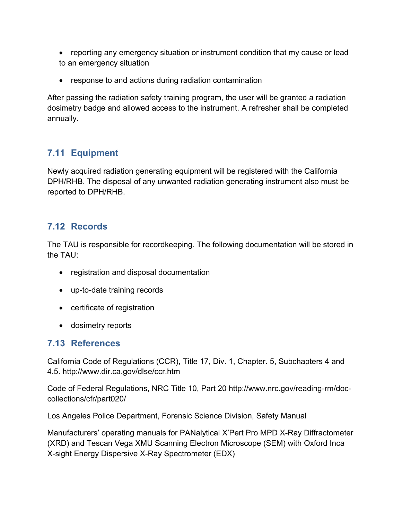- reporting any emergency situation or instrument condition that my cause or lead to an emergency situation
- response to and actions during radiation contamination

After passing the radiation safety training program, the user will be granted a radiation dosimetry badge and allowed access to the instrument. A refresher shall be completed annually.

## **7.11 Equipment**

Newly acquired radiation generating equipment will be registered with the California DPH/RHB. The disposal of any unwanted radiation generating instrument also must be reported to DPH/RHB.

### **7.12 Records**

The TAU is responsible for recordkeeping. The following documentation will be stored in the TAU:

- registration and disposal documentation
- up-to-date training records
- certificate of registration
- dosimetry reports

## **7.13 References**

California Code of Regulations (CCR), Title 17, Div. 1, Chapter. 5, Subchapters 4 and 4.5. http://www.dir.ca.gov/dlse/ccr.htm

Code of Federal Regulations, NRC Title 10, Part 20 http://www.nrc.gov/reading-rm/doccollections/cfr/part020/

Los Angeles Police Department, Forensic Science Division, Safety Manual

Manufacturers' operating manuals for PANalytical X'Pert Pro MPD X-Ray Diffractometer (XRD) and Tescan Vega XMU Scanning Electron Microscope (SEM) with Oxford Inca X-sight Energy Dispersive X-Ray Spectrometer (EDX)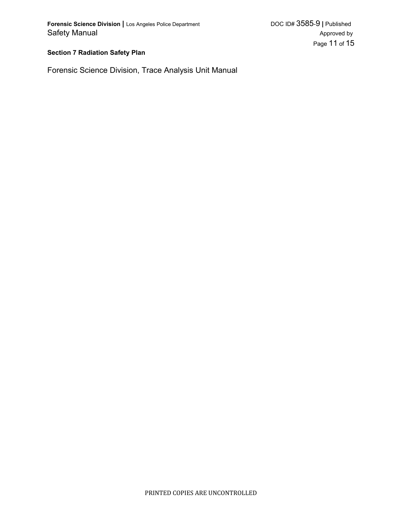Forensic Science Division, Trace Analysis Unit Manual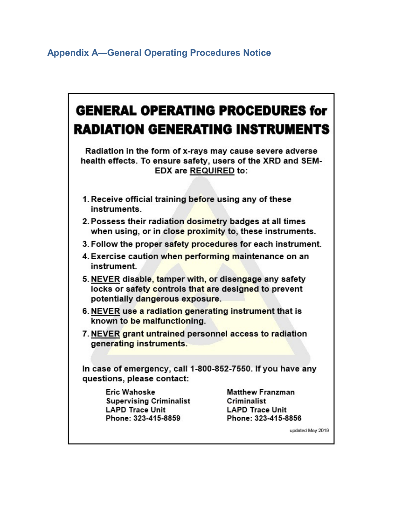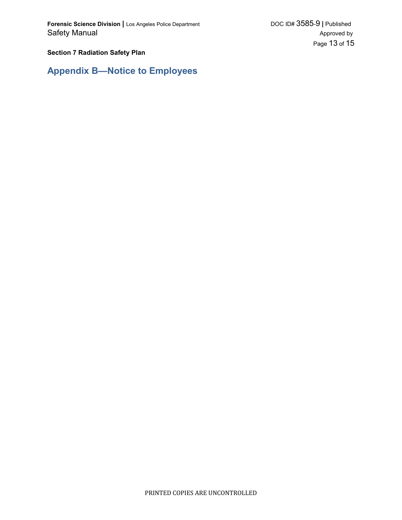**Appendix B—Notice to Employees**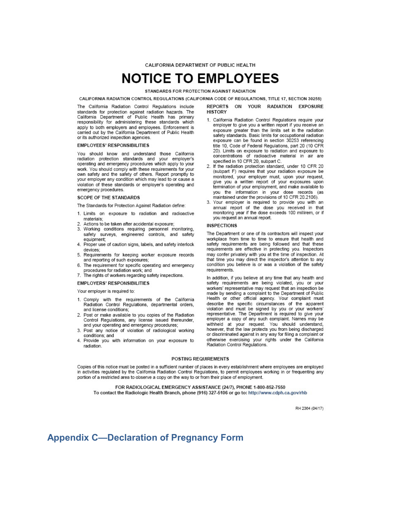CALIFORNIA DEPARTMENT OF PUBLIC HEALTH

# **NOTICE TO EMPLOYEES**

STANDARDS FOR PROTECTION AGAINST RADIATION

CALIFORNIA RADIATION CONTROL REGULATIONS (CALIFORNIA CODE OF REGULATIONS, TITLE 17, SECTION 30255)

The California Radiation Control Regulations include standards for protection against radiation hazards. The<br>California Department of Public Health has primary responsibility for administering these standards which apply to both employers and employees. Enforcement is carried out by the California Department of Public Health or its authorized inspection agencies.

#### **EMPLOYEES' RESPONSIBILITIES**

You should know and understand those California<br>radiation protection standards and your employer's operating and emergency procedures which apply to your work. You should comply with these requirements for your own safety and the safety of others. Report promptly to your employer any condition which may lead to or cause a violation of these standards or employer's operating and emergency procedures.

#### **SCOPE OF THE STANDARDS**

The Standards for Protection Against Radiation define:

- 1. Limits on exposure to radiation and radioactive materials:
- 2. Actions to be taken after accidental exposure;
- 3. Working conditions requiring personnel monitoring, safety surveys, engineered controls, and safety equipment:
- 4. Proper use of caution signs, labels, and safety interlock devices:
- 5. Requirements for keeping worker exposure records and reporting of such exposures;
- 6. The requirement for specific operating and emergency procedures for radiation work; and
- 7. The rights of workers regarding safety inspections.

#### **EMPLOYERS' RESPONSIBILITIES**

Your employer is required to:

- 1. Comply with the requirements of the California Radiation Control Regulations, departmental orders, and license conditions;
- 2. Post or make available to you copies of the Radiation Control Regulations, any license issued thereunder, and your operating and emergency procedures;
- 3. Post any notice of violation of radiological working conditions; and
- 4. Provide you with information on your exposure to radiation.

REPORTS ON YOUR RADIATION EXPOSURE **HISTORY** 

- 1. California Radiation Control Regulations require your employer to give you a written report if you receive an exposure greater than the limits set in the radiation safety standards. Basic limits for occupational radiation exposure can be found in section 30253 referencing title 10, Code of Federal Regulations, part 20 (10 CFR 20). Limits on exposure to radiation and exposure to concentrations of radioactive material in air are specified in 10 CFR 20, subpart C.
- 2. If the radiation protection standard, under 10 CFR 20 (subpart F) requires that your radiation exposure be monitored, your employer must, upon your request, give you a written report of your exposures upon termination of your employment, and make available to you the information in your dose records (as maintained under the provisions of 10 CFR 20.2106).
- 3. Your employer is required to provide you with an annual report of the dose you received in that monitoring year if the dose exceeds 100 millirem, or if you request an annual report.

#### **INSPECTIONS**

The Department or one of its contractors will inspect your workplace from time to time to ensure that health and safety requirements are being followed and that these requirements are effective in protecting you. Inspectors may confer privately with you at the time of inspection. At that time you may direct the inspector's attention to any condition you believe is or was a violation of the safety requirements.

In addition, if you believe at any time that any health and safety requirements are being violated, you or your workers' representative may request that an inspection be made by sending a complaint to the Department of Public Health or other official agency. Your complaint must describe the specific circumstances of the apparent violation and must be signed by you or your workers'<br>representative. The Department is required to give your employer a copy of any such complaint. Names may be withheld at your request. You should understand, however, that the law protects you from being discharged or discriminated against in any way for filing a complaint or otherwise exercising your rights under the California Radiation Control Regulations.

#### POSTING REQUIREMENTS

Copies of this notice must be posted in a sufficient number of places in every establishment where employees are employed in activities regulated by the California Radiation Control Regulations, to permit employees working in or frequenting any portion of a restricted area to observe a copy on the way to or from their place of employment.

FOR RADIOLOGICAL EMERGENCY ASSISTANCE (24/7), PHONE 1-800-852-7550 To contact the Radiologic Health Branch, phone (916) 327-5106 or go to: http://www.cdph.ca.gov/rhb

RH 2364 (04/17)

#### **Appendix C—Declaration of Pregnancy Form**